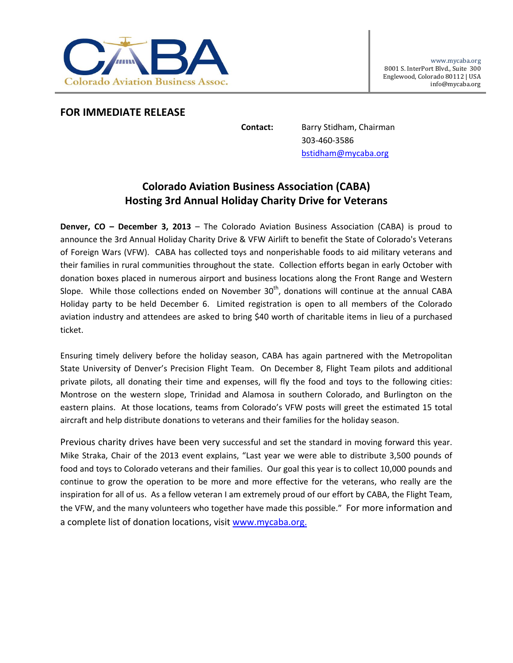

## **FOR IMMEDIATE RELEASE**

**Contact:** Barry Stidham, Chairman 303‐460‐3586 bstidham@mycaba.org

## **Colorado Aviation Business Association (CABA) Hosting 3rd Annual Holiday Charity Drive for Veterans**

**Denver, CO – December 3, 2013** – The Colorado Aviation Business Association (CABA) is proud to announce the 3rd Annual Holiday Charity Drive & VFW Airlift to benefit the State of Colorado's Veterans of Foreign Wars (VFW). CABA has collected toys and nonperishable foods to aid military veterans and their families in rural communities throughout the state. Collection efforts began in early October with donation boxes placed in numerous airport and business locations along the Front Range and Western Slope. While those collections ended on November  $30<sup>th</sup>$ , donations will continue at the annual CABA Holiday party to be held December 6. Limited registration is open to all members of the Colorado aviation industry and attendees are asked to bring \$40 worth of charitable items in lieu of a purchased ticket.

Ensuring timely delivery before the holiday season, CABA has again partnered with the Metropolitan State University of Denver's Precision Flight Team. On December 8, Flight Team pilots and additional private pilots, all donating their time and expenses, will fly the food and toys to the following cities: Montrose on the western slope, Trinidad and Alamosa in southern Colorado, and Burlington on the eastern plains. At those locations, teams from Colorado's VFW posts will greet the estimated 15 total aircraft and help distribute donations to veterans and their families for the holiday season.

Previous charity drives have been very successful and set the standard in moving forward this year. Mike Straka, Chair of the 2013 event explains, "Last year we were able to distribute 3,500 pounds of food and toys to Colorado veterans and their families. Our goal this year is to collect 10,000 pounds and continue to grow the operation to be more and more effective for the veterans, who really are the inspiration for all of us. As a fellow veteran I am extremely proud of our effort by CABA, the Flight Team, the VFW, and the many volunteers who together have made this possible." For more information and a complete list of donation locations, visit www.mycaba.org.